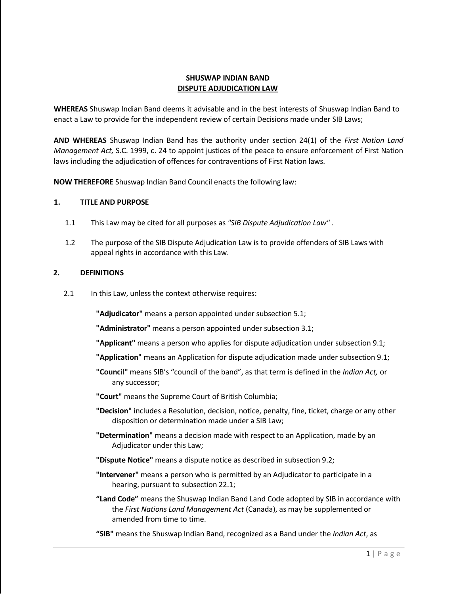# **SHUSWAP INDIAN BAND DISPUTE ADJUDICATION LAW**

**WHEREAS** Shuswap Indian Band deems it advisable and in the best interests of Shuswap Indian Band to enact a Law to provide for the independent review of certain Decisions made under SIB Laws;

**AND WHEREAS** Shuswap Indian Band has the authority under section 24(1) of the *First Nation Land Management Act,* S.C. 1999, c. 24 to appoint justices of the peace to ensure enforcement of First Nation laws including the adjudication of offences for contraventions of First Nation laws.

**NOW THEREFORE** Shuswap Indian Band Council enacts the following law:

#### **1. TITLE AND PURPOSE**

- 1.1 This Law may be cited for all purposes as *"SIB Dispute Adjudication Law" .*
- 1.2 The purpose of the SIB Dispute Adjudication Law is to provide offenders of SIB Laws with appeal rights in accordance with this Law.

### **2. DEFINITIONS**

2.1 In this Law, unless the context otherwise requires:

**"Adjudicator"** means a person appointed under subsection 5.1;

**"Administrator"** means a person appointed under subsection 3.1;

**"Applicant"** means a person who applies for dispute adjudication under subsection 9.1;

- **"Application"** means an Application for dispute adjudication made under subsection 9.1;
- **"Council"** means SIB's "council of the band", as that term is defined in the *Indian Act,* or any successor;
- **"Court"** means the Supreme Court of British Columbia;
- **"Decision"** includes a Resolution, decision, notice, penalty, fine, ticket, charge or any other disposition or determination made under a SIB Law;
- **"Determination"** means a decision made with respect to an Application, made by an Adjudicator under this Law;
- **"Dispute Notice"** means a dispute notice as described in subsection 9.2;
- **"Intervener"** means a person who is permitted by an Adjudicator to participate in a hearing, pursuant to subsection 22.1;
- **"Land Code"** means the Shuswap Indian Band Land Code adopted by SIB in accordance with the *First Nations Land Management Act* (Canada), as may be supplemented or amended from time to time.
- **"SIB"** means the Shuswap Indian Band, recognized as a Band under the *Indian Act*, as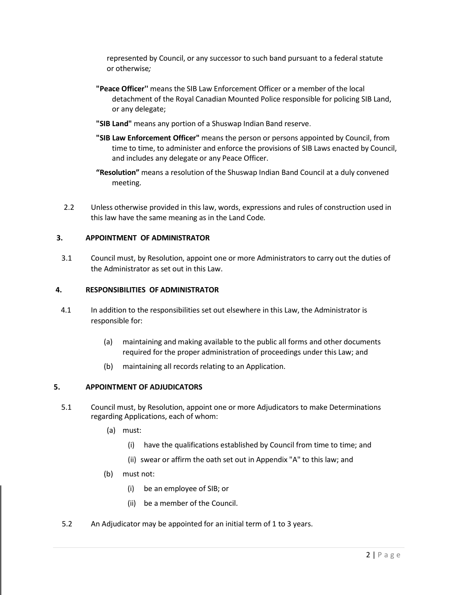represented by Council, or any successor to such band pursuant to a federal statute or otherwise*;*

- **"Peace Officer''** means the SIB Law Enforcement Officer or a member of the local detachment of the Royal Canadian Mounted Police responsible for policing SIB Land, or any delegate;
- **"SIB Land"** means any portion of a Shuswap Indian Band reserve.
- **"SIB Law Enforcement Officer"** means the person or persons appointed by Council, from time to time, to administer and enforce the provisions of SIB Laws enacted by Council, and includes any delegate or any Peace Officer.
- **"Resolution"** means a resolution of the Shuswap Indian Band Council at a duly convened meeting.
- 2.2 Unless otherwise provided in this law, words, expressions and rules of construction used in this law have the same meaning as in the Land Code*.*

#### **3. APPOINTMENT OF ADMINISTRATOR**

3.1 Council must, by Resolution, appoint one or more Administrators to carry out the duties of the Administrator as set out in this Law.

#### **4. RESPONSIBILITIES OF ADMINISTRATOR**

- 4.1 In addition to the responsibilities set out elsewhere in this Law, the Administrator is responsible for:
	- (a) maintaining and making available to the public all forms and other documents required for the proper administration of proceedings under this Law; and
	- (b) maintaining all records relating to an Application.

#### **5. APPOINTMENT OF ADJUDICATORS**

- 5.1 Council must, by Resolution, appoint one or more Adjudicators to make Determinations regarding Applications, each of whom:
	- (a) must:
		- (i) have the qualifications established by Council from time to time; and
		- (ii) swear or affirm the oath set out in Appendix "A" to this law; and
	- (b) must not:
		- (i) be an employee of SIB; or
		- (ii) be a member of the Council.
- 5.2 An Adjudicator may be appointed for an initial term of 1 to 3 years.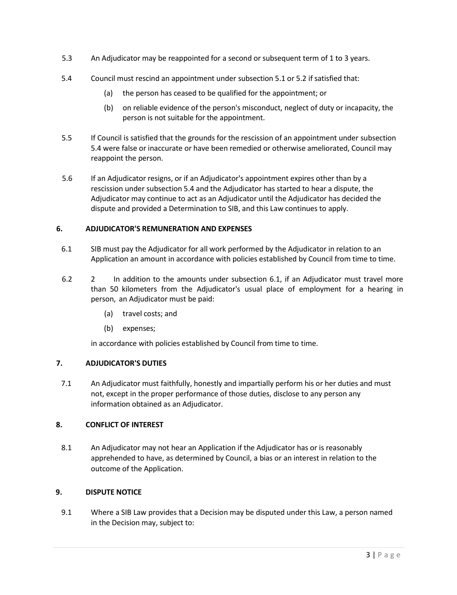- 5.3 An Adjudicator may be reappointed for a second orsubsequent term of 1 to 3 years.
- 5.4 Council must rescind an appointment under subsection 5.1 or 5.2 if satisfied that:
	- (a) the person has ceased to be qualified for the appointment; or
	- (b) on reliable evidence of the person's misconduct, neglect of duty or incapacity, the person is not suitable for the appointment.
- 5.5 If Council is satisfied that the grounds for the rescission of an appointment under subsection 5.4 were false or inaccurate or have been remedied or otherwise ameliorated, Council may reappoint the person.
- 5.6 If an Adjudicator resigns, or if an Adjudicator's appointment expires other than by a rescission under subsection 5.4 and the Adjudicator has started to hear a dispute, the Adjudicator may continue to act as an Adjudicator until the Adjudicator has decided the dispute and provided a Determination to SIB, and this Law continues to apply.

# **6. ADJUDICATOR'S REMUNERATION AND EXPENSES**

- 6.1 SIB must pay the Adjudicator for all work performed by the Adjudicator in relation to an Application an amount in accordance with policies established by Council from time to time.
- 6.2 2 In addition to the amounts under subsection 6.1, if an Adjudicator must travel more than 50 kilometers from the Adjudicator's usual place of employment for a hearing in person, an Adjudicator must be paid:
	- (a) travel costs; and
	- (b) expenses;

in accordance with policies established by Council from time to time.

### **7. ADJUDICATOR'S DUTIES**

7.1 An Adjudicator must faithfully, honestly and impartially perform his or her duties and must not, except in the proper performance of those duties, disclose to any person any information obtained as an Adjudicator.

### **8. CONFLICT OF INTEREST**

8.1 An Adjudicator may not hear an Application if the Adjudicator has or is reasonably apprehended to have, as determined by Council, a bias or an interest in relation to the outcome of the Application.

### **9. DISPUTE NOTICE**

9.1 Where a SIB Law provides that a Decision may be disputed under this Law, a person named in the Decision may, subject to: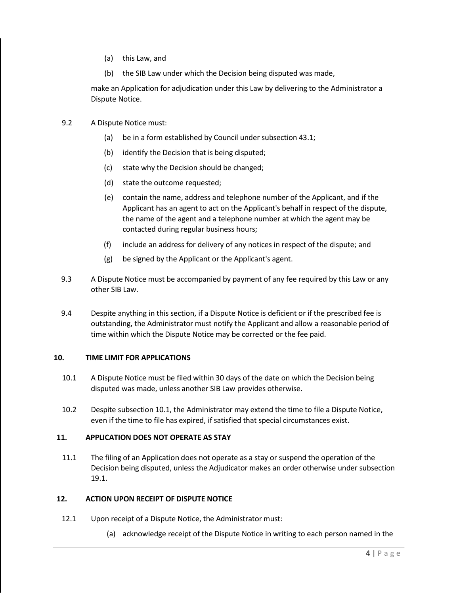- (a) this Law, and
- (b) the SIB Law under which the Decision being disputed was made,

make an Application for adjudication under this Law by delivering to the Administrator a Dispute Notice.

- 9.2 A Dispute Notice must:
	- (a) be in a form established by Council under subsection 43.1;
	- (b) identify the Decision that is being disputed;
	- (c) state why the Decision should be changed;
	- (d) state the outcome requested;
	- (e) contain the name, address and telephone number of the Applicant, and if the Applicant has an agent to act on the Applicant's behalf in respect of the dispute, the name of the agent and a telephone number at which the agent may be contacted during regular business hours;
	- (f) include an address for delivery of any notices in respect of the dispute; and
	- (g) be signed by the Applicant or the Applicant's agent.
- 9.3 A Dispute Notice must be accompanied by payment of any fee required by this Law or any other SIB Law.
- 9.4 Despite anything in this section, if a Dispute Notice is deficient or if the prescribed fee is outstanding, the Administrator must notify the Applicant and allow a reasonable period of time within which the Dispute Notice may be corrected or the fee paid.

### **10. TIME LIMIT FOR APPLICATIONS**

- 10.1 A Dispute Notice must be filed within 30 days of the date on which the Decision being disputed was made, unless another SIB Law provides otherwise.
- 10.2 Despite subsection 10.1, the Administrator may extend the time to file a Dispute Notice, even if the time to file has expired, if satisfied that special circumstances exist.

# **11. APPLICATION DOES NOT OPERATE AS STAY**

11.1 The filing of an Application does not operate as a stay or suspend the operation of the Decision being disputed, unless the Adjudicator makes an order otherwise under subsection 19.1.

### **12. ACTION UPON RECEIPT OF DISPUTE NOTICE**

- 12.1 Upon receipt of a Dispute Notice, the Administrator must:
	- (a) acknowledge receipt of the Dispute Notice in writing to each person named in the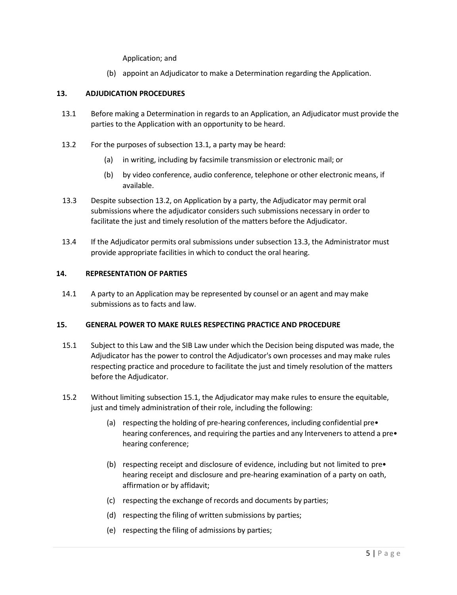Application; and

(b) appoint an Adjudicator to make a Determination regarding the Application.

### **13. ADJUDICATION PROCEDURES**

- 13.1 Before making a Determination in regards to an Application, an Adjudicator must provide the parties to the Application with an opportunity to be heard.
- 13.2 For the purposes of subsection 13.1, a party may be heard:
	- (a) in writing, including by facsimile transmission or electronic mail; or
	- (b) by video conference, audio conference, telephone or other electronic means, if available.
- 13.3 Despite subsection 13.2, on Application by a party, the Adjudicator may permit oral submissions where the adjudicator considers such submissions necessary in order to facilitate the just and timely resolution of the matters before the Adjudicator.
- 13.4 If the Adjudicator permits oral submissions under subsection 13.3, the Administrator must provide appropriate facilities in which to conduct the oral hearing.

### **14. REPRESENTATION OF PARTIES**

14.1 A party to an Application may be represented by counsel or an agent and may make submissions as to facts and law.

### **15. GENERAL POWER TO MAKE RULES RESPECTING PRACTICE AND PROCEDURE**

- 15.1 Subject to this Law and the SIB Law under which the Decision being disputed was made, the Adjudicator has the power to control the Adjudicator's own processes and may make rules respecting practice and procedure to facilitate the just and timely resolution of the matters before the Adjudicator.
- 15.2 Without limiting subsection 15.1, the Adjudicator may make rules to ensure the equitable, just and timely administration of their role, including the following:
	- (a) respecting the holding of pre-hearing conferences, including confidential pre• hearing conferences, and requiring the parties and any Interveners to attend a pre $\bullet$ hearing conference;
	- (b) respecting receipt and disclosure of evidence, including but not limited to pre• hearing receipt and disclosure and pre-hearing examination of a party on oath, affirmation or by affidavit;
	- (c) respecting the exchange of records and documents by parties;
	- (d) respecting the filing of written submissions by parties;
	- (e) respecting the filing of admissions by parties;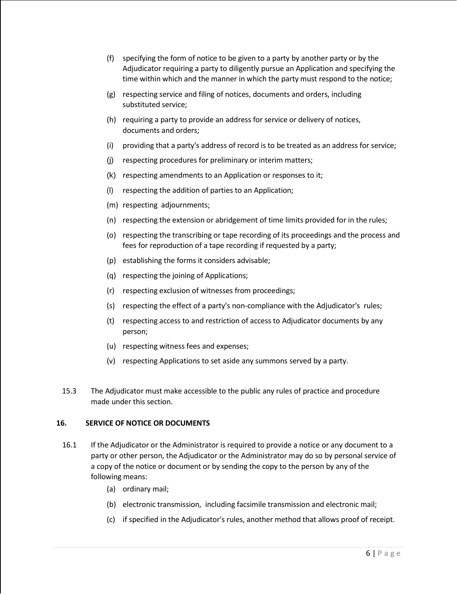- (f) specifying the form of notice to be given to a party by another party or by the Adjudicator requiring a party to diligently pursue an Application and specifying the time within which and the manner in which the party must respond to the notice;
- (g) respecting service and filing of notices, documents and orders, including substituted service;
- (h) requiring a party to provide an address for service or delivery of notices, documents and orders;
- (i) providing that a party's address of record is to be treated as an address for service;
- (j) respecting procedures for preliminary or interim matters;
- (k) respecting amendments to an Application or responses to it;
- (I) respecting the addition of parties to an Application;
- (m) respecting adjournments;
- (n) respecting the extension or abridgement of time limits provided for in the rules;
- (o) respecting the transcribing or tape recording of its proceedings and the process and fees for reproduction of a tape recording if requested by a party;
- (p) establishing the forms it considers advisable;
- (q) respecting the joining of Applications;
- (r) respecting exclusion of witnesses from proceedings;
- (s) respecting the effect of a party's non-compliance with the Adjudicator's rules;
- (t) respecting access to and restriction of access to Adjudicator documents by any person;
- (u) respecting witness fees and expenses;
- (v) respecting Applications to set aside any summons served by a party.
- 15.3 The Adjudicator must make accessible to the public any rules of practice and procedure made under this section.

### **16. SERVICE OF NOTICE OR DOCUMENTS**

- 16.1 If the Adjudicator or the Administrator is required to provide a notice or any document to a party or other person, the Adjudicator or the Administrator may do so by personal service of a copy of the notice or document or by sending the copy to the person by any of the following means:
	- (a) ordinary mail;
	- (b) electronic transmission, including facsimile transmission and electronic mail;
	- (c) if specified in the Adjudicator's rules, another method that allows proof of receipt.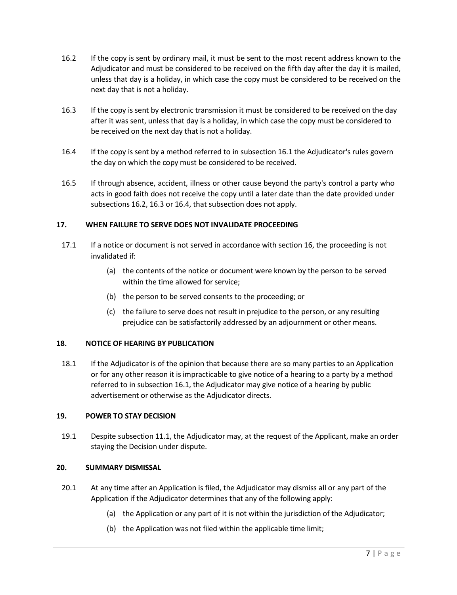- 16.2 If the copy is sent by ordinary mail, it must be sent to the most recent address known to the Adjudicator and must be considered to be received on the fifth day after the day it is mailed, unless that day is a holiday, in which case the copy must be considered to be received on the next day that is not a holiday.
- 16.3 If the copy is sent by electronic transmission it must be considered to be received on the day after it was sent, unless that day is a holiday, in which case the copy must be considered to be received on the next day that is not a holiday.
- 16.4 If the copy is sent by a method referred to in subsection 16.1 the Adjudicator's rules govern the day on which the copy must be considered to be received.
- 16.5 If through absence, accident, illness or other cause beyond the party's control a party who acts in good faith does not receive the copy until a later date than the date provided under subsections 16.2, 16.3 or 16.4, that subsection does not apply.

# **17. WHEN FAILURE TO SERVE DOES NOT INVALIDATE PROCEEDING**

- 17.1 If a notice or document is not served in accordance with section 16, the proceeding is not invalidated if:
	- (a) the contents of the notice or document were known by the person to be served within the time allowed for service;
	- (b) the person to be served consents to the proceeding; or
	- (c) the failure to serve does not result in prejudice to the person, or any resulting prejudice can be satisfactorily addressed by an adjournment or other means.

### **18. NOTICE OF HEARING BY PUBLICATION**

18.1 If the Adjudicator is of the opinion that because there are so many parties to an Application or for any other reason it is impracticable to give notice of a hearing to a party by a method referred to in subsection 16.1, the Adjudicator may give notice of a hearing by public advertisement or otherwise as the Adjudicator directs.

### **19. POWER TO STAY DECISION**

19.1 Despite subsection 11.1, the Adjudicator may, at the request of the Applicant, make an order staying the Decision under dispute.

### **20. SUMMARY DISMISSAL**

- 20.1 At any time after an Application is filed, the Adjudicator may dismiss all or any part of the Application if the Adjudicator determines that any of the following apply:
	- (a) the Application or any part of it is not within the jurisdiction of the Adjudicator;
	- (b) the Application was not filed within the applicable time limit;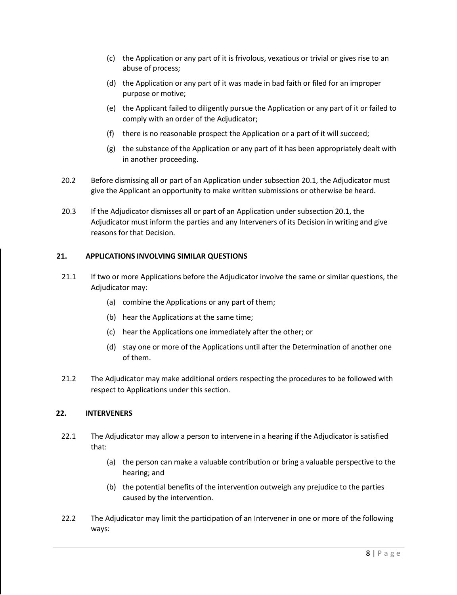- (c) the Application or any part of it is frivolous, vexatious or trivial or gives rise to an abuse of process;
- (d) the Application or any part of it was made in bad faith or filed for an improper purpose or motive;
- (e) the Applicant failed to diligently pursue the Application or any part of it or failed to comply with an order of the Adjudicator;
- (f) there is no reasonable prospect the Application or a part of it will succeed;
- (g) the substance of the Application or any part of it has been appropriately dealt with in another proceeding.
- 20.2 Before dismissing all or part of an Application under subsection 20.1, the Adjudicator must give the Applicant an opportunity to make written submissions or otherwise be heard.
- 20.3 If the Adjudicator dismisses all or part of an Application under subsection 20.1, the Adjudicator must inform the parties and any lnterveners of its Decision in writing and give reasons for that Decision.

# **21. APPLICATIONS INVOLVING SIMILAR QUESTIONS**

- 21.1 If two or more Applications before the Adjudicator involve the same or similar questions, the Adjudicator may:
	- (a) combine the Applications or any part of them;
	- (b) hear the Applications at the same time;
	- (c) hear the Applications one immediately after the other; or
	- (d) stay one or more of the Applications until after the Determination of another one of them.
- 21.2 The Adjudicator may make additional orders respecting the procedures to be followed with respect to Applications under this section.

### **22. INTERVENERS**

- 22.1 The Adjudicator may allow a person to intervene in a hearing if the Adjudicator is satisfied that:
	- (a) the person can make a valuable contribution or bring a valuable perspective to the hearing; and
	- (b) the potential benefits of the intervention outweigh any prejudice to the parties caused by the intervention.
- 22.2 The Adjudicator may limit the participation of an Intervener in one or more of the following ways: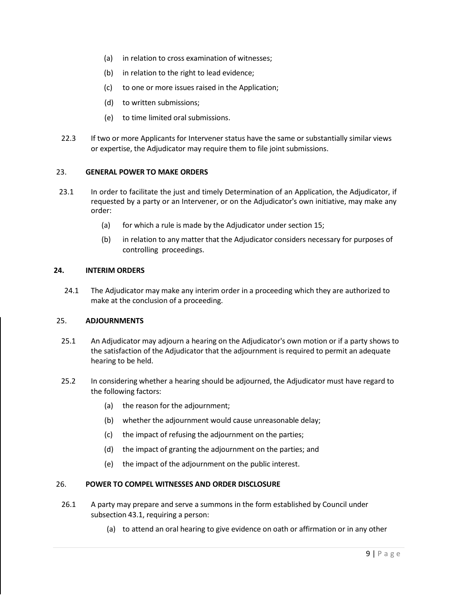- (a) in relation to cross examination of witnesses;
- (b) in relation to the right to lead evidence;
- (c) to one or more issues raised in the Application;
- (d) to written submissions;
- (e) to time limited oral submissions.
- 22.3 If two or more Applicants for Intervener status have the same or substantially similar views or expertise, the Adjudicator may require them to file joint submissions.

### 23. **GENERAL POWER TO MAKE ORDERS**

- 23.1 In order to facilitate the just and timely Determination of an Application, the Adjudicator, if requested by a party or an Intervener, or on the Adjudicator's own initiative, may make any order:
	- (a) for which a rule is made by the Adjudicator under section 15;
	- (b) in relation to any matter that the Adjudicator considers necessary for purposes of controlling proceedings.

#### **24. INTERIM ORDERS**

24.1 The Adjudicator may make any interim order in a proceeding which they are authorized to make at the conclusion of a proceeding.

### 25. **ADJOURNMENTS**

- 25.1 An Adjudicator may adjourn a hearing on the Adjudicator's own motion or if a party shows to the satisfaction of the Adjudicator that the adjournment is required to permit an adequate hearing to be held.
- 25.2 In considering whether a hearing should be adjourned, the Adjudicator must have regard to the following factors:
	- (a) the reason for the adjournment;
	- (b) whether the adjournment would cause unreasonable delay;
	- (c) the impact of refusing the adjournment on the parties;
	- (d) the impact of granting the adjournment on the parties; and
	- (e) the impact of the adjournment on the public interest.

### 26. **POWER TO COMPEL WITNESSES AND ORDER DISCLOSURE**

- 26.1 A party may prepare and serve a summons in the form established by Council under subsection 43.1, requiring a person:
	- (a) to attend an oral hearing to give evidence on oath or affirmation or in any other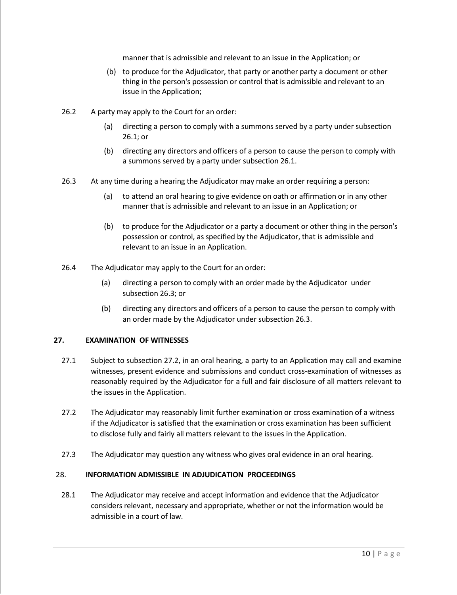manner that is admissible and relevant to an issue in the Application; or

- (b) to produce for the Adjudicator, that party or another party a document or other thing in the person's possession or control that is admissible and relevant to an issue in the Application;
- 26.2 A party may apply to the Court for an order:
	- (a) directing a person to comply with a summons served by a party under subsection 26.1; or
	- (b) directing any directors and officers of a person to cause the person to comply with a summons served by a party under subsection 26.1.
- 26.3 At any time during a hearing the Adjudicator may make an order requiring a person:
	- (a) to attend an oral hearing to give evidence on oath or affirmation or in any other manner that is admissible and relevant to an issue in an Application; or
	- (b) to produce for the Adjudicator or a party a document or other thing in the person's possession or control, as specified by the Adjudicator, that is admissible and relevant to an issue in an Application.
- 26.4 The Adjudicator may apply to the Court for an order:
	- (a) directing a person to comply with an order made by the Adjudicator under subsection 26.3; or
	- (b) directing any directors and officers of a person to cause the person to comply with an order made by the Adjudicator under subsection 26.3.

### **27. EXAMINATION OF WITNESSES**

- 27.1 Subject to subsection 27.2, in an oral hearing, a party to an Application may call and examine witnesses, present evidence and submissions and conduct cross-examination of witnesses as reasonably required by the Adjudicator for a full and fair disclosure of all matters relevant to the issues in the Application.
- 27.2 The Adjudicator may reasonably limit further examination or cross examination of a witness if the Adjudicator is satisfied that the examination or cross examination has been sufficient to disclose fully and fairly all matters relevant to the issues in the Application.
- 27.3 The Adjudicator may question any witness who gives oral evidence in an oral hearing.

### 28. **INFORMATION ADMISSIBLE IN ADJUDICATION PROCEEDINGS**

28.1 The Adjudicator may receive and accept information and evidence that the Adjudicator considers relevant, necessary and appropriate, whether or not the information would be admissible in a court of law.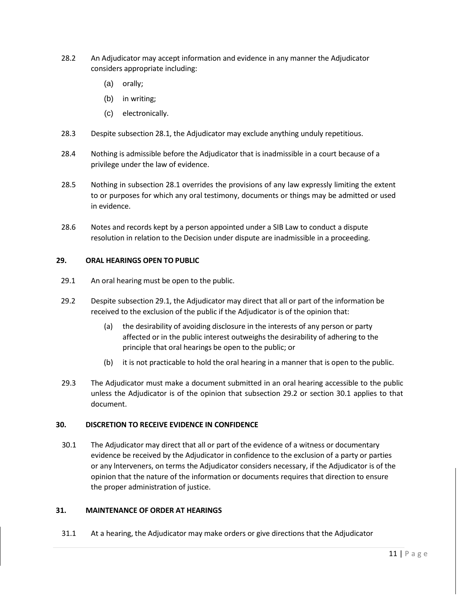- 28.2 An Adjudicator may accept information and evidence in any manner the Adjudicator considers appropriate including:
	- (a) orally;
	- (b) in writing;
	- (c) electronically.
- 28.3 Despite subsection 28.1, the Adjudicator may exclude anything unduly repetitious.
- 28.4 Nothing is admissible before the Adjudicator that is inadmissible in a court because of a privilege under the law of evidence.
- 28.5 Nothing in subsection 28.1 overrides the provisions of any law expressly limiting the extent to or purposes for which any oral testimony, documents or things may be admitted or used in evidence.
- 28.6 Notes and records kept by a person appointed under a SIB Law to conduct a dispute resolution in relation to the Decision under dispute are inadmissible in a proceeding.

#### **29. ORAL HEARINGS OPEN TO PUBLIC**

- 29.1 An oral hearing must be open to the public.
- 29.2 Despite subsection 29.1, the Adjudicator may direct that all or part of the information be received to the exclusion of the public if the Adjudicator is of the opinion that:
	- (a) the desirability of avoiding disclosure in the interests of any person or party affected or in the public interest outweighs the desirability of adhering to the principle that oral hearings be open to the public; or
	- (b) it is not practicable to hold the oral hearing in a manner that is open to the public.
- 29.3 The Adjudicator must make a document submitted in an oral hearing accessible to the public unless the Adjudicator is of the opinion that subsection 29.2 or section 30.1 applies to that document.

### **30. DISCRETION TO RECEIVE EVIDENCE IN CONFIDENCE**

30.1 The Adjudicator may direct that all or part of the evidence of a witness or documentary evidence be received by the Adjudicator in confidence to the exclusion of a party or parties or any lnterveners, on terms the Adjudicator considers necessary, if the Adjudicator is of the opinion that the nature of the information or documents requires that direction to ensure the proper administration of justice.

### **31. MAINTENANCE OF ORDER AT HEARINGS**

31.1 At a hearing, the Adjudicator may make orders or give directions that the Adjudicator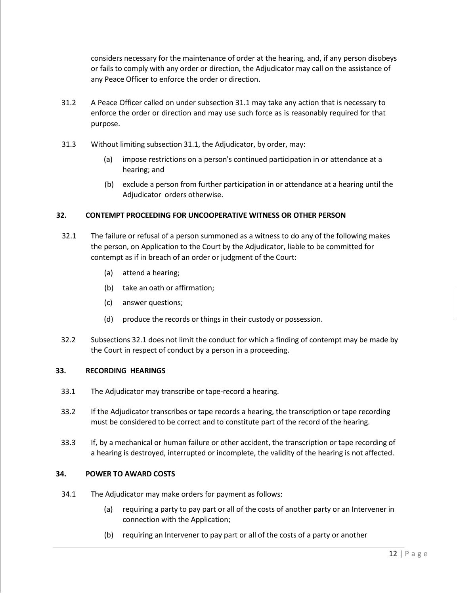considers necessary for the maintenance of order at the hearing, and, if any person disobeys or fails to comply with any order or direction, the Adjudicator may call on the assistance of any Peace Officer to enforce the order or direction.

- 31.2 A Peace Officer called on under subsection 31.1 may take any action that is necessary to enforce the order or direction and may use such force as is reasonably required for that purpose.
- 31.3 Without limiting subsection 31.1, the Adjudicator, by order, may:
	- (a) impose restrictions on a person's continued participation in or attendance at a hearing; and
	- (b) exclude a person from further participation in or attendance at a hearing until the Adjudicator orders otherwise.

# **32. CONTEMPT PROCEEDING FOR UNCOOPERATIVE WITNESS OR OTHER PERSON**

- 32.1 The failure or refusal of a person summoned as a witness to do any of the following makes the person, on Application to the Court by the Adjudicator, liable to be committed for contempt as if in breach of an order or judgment of the Court:
	- (a) attend a hearing;
	- (b) take an oath or affirmation;
	- (c) answer questions;
	- (d) produce the records or things in their custody or possession.
- 32.2 Subsections 32.1 does not limit the conduct for which a finding of contempt may be made by the Court in respect of conduct by a person in a proceeding.

### **33. RECORDING HEARINGS**

- 33.1 The Adjudicator may transcribe or tape-record a hearing.
- 33.2 If the Adjudicator transcribes or tape records a hearing, the transcription or tape recording must be considered to be correct and to constitute part of the record of the hearing.
- 33.3 If, by a mechanical or human failure or other accident, the transcription or tape recording of a hearing is destroyed, interrupted or incomplete, the validity of the hearing is not affected.

### **34. POWER TO AWARD COSTS**

- 34.1 The Adjudicator may make orders for payment as follows:
	- (a) requiring a party to pay part or all of the costs of another party or an Intervener in connection with the Application;
	- (b) requiring an Intervener to pay part or all of the costs of a party or another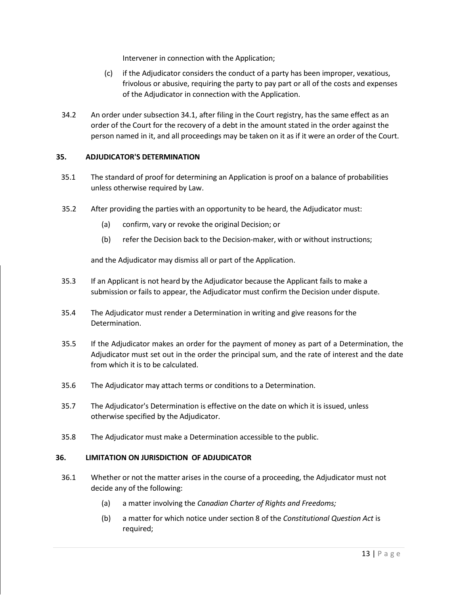Intervener in connection with the Application;

- (c) if the Adjudicator considers the conduct of a party has been improper, vexatious, frivolous or abusive, requiring the party to pay part or all of the costs and expenses of the Adjudicator in connection with the Application.
- 34.2 An order under subsection 34.1, after filing in the Court registry, has the same effect as an order of the Court for the recovery of a debt in the amount stated in the order against the person named in it, and all proceedings may be taken on it as if it were an order of the Court.

# **35. ADJUDICATOR'S DETERMINATION**

- 35.1 The standard of proof for determining an Application is proof on a balance of probabilities unless otherwise required by Law.
- 35.2 After providing the parties with an opportunity to be heard, the Adjudicator must:
	- (a) confirm, vary or revoke the original Decision; or
	- (b) refer the Decision back to the Decision-maker, with or without instructions;

and the Adjudicator may dismiss all or part of the Application.

- 35.3 If an Applicant is not heard by the Adjudicator because the Applicant fails to make a submission or fails to appear, the Adjudicator must confirm the Decision under dispute.
- 35.4 The Adjudicator must render a Determination in writing and give reasons for the Determination.
- 35.5 If the Adjudicator makes an order for the payment of money as part of a Determination, the Adjudicator must set out in the order the principal sum, and the rate of interest and the date from which it is to be calculated.
- 35.6 The Adjudicator may attach terms or conditions to a Determination.
- 35.7 The Adjudicator's Determination is effective on the date on which it is issued, unless otherwise specified by the Adjudicator.
- 35.8 The Adjudicator must make a Determination accessible to the public.

### **36. LIMITATION ON JURISDICTION OF ADJUDICATOR**

- 36.1 Whether or not the matter arises in the course of a proceeding, the Adjudicator must not decide any of the following:
	- (a) a matter involving the *Canadian Charter of Rights and Freedoms;*
	- (b) a matter for which notice under section 8 of the *Constitutional Question Act* is required;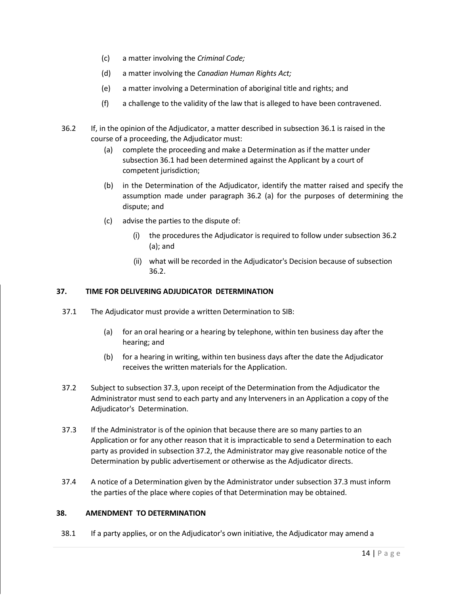- (c) a matter involving the *Criminal Code;*
- (d) a matter involving the *Canadian Human Rights Act;*
- (e) a matter involving a Determination of aboriginal title and rights; and
- (f) a challenge to the validity of the law that is alleged to have been contravened.
- 36.2 If, in the opinion of the Adjudicator, a matter described in subsection 36.1 is raised in the course of a proceeding, the Adjudicator must:
	- (a) complete the proceeding and make a Determination as if the matter under subsection 36.1 had been determined against the Applicant by a court of competent jurisdiction;
	- (b) in the Determination of the Adjudicator, identify the matter raised and specify the assumption made under paragraph 36.2 (a) for the purposes of determining the dispute; and
	- (c) advise the parties to the dispute of:
		- (i) the procedures the Adjudicator is required to follow under subsection 36.2 (a); and
		- (ii) what will be recorded in the Adjudicator's Decision because of subsection 36.2.

### **37. TIME FOR DELIVERING ADJUDICATOR DETERMINATION**

- 37.1 The Adjudicator must provide a written Determination to SIB:
	- (a) for an oral hearing or a hearing by telephone, within ten business day after the hearing; and
	- (b) for a hearing in writing, within ten business days after the date the Adjudicator receives the written materials for the Application.
- 37.2 Subject to subsection 37.3, upon receipt of the Determination from the Adjudicator the Administrator must send to each party and any lnterveners in an Application a copy of the Adjudicator's Determination.
- 37.3 If the Administrator is of the opinion that because there are so many parties to an Application or for any other reason that it is impracticable to send a Determination to each party as provided in subsection 37.2, the Administrator may give reasonable notice of the Determination by public advertisement or otherwise as the Adjudicator directs.
- 37.4 A notice of a Determination given by the Administrator under subsection 37.3 must inform the parties of the place where copies of that Determination may be obtained.

# **38. AMENDMENT TO DETERMINATION**

38.1 If a party applies, or on the Adjudicator's own initiative, the Adjudicator may amend a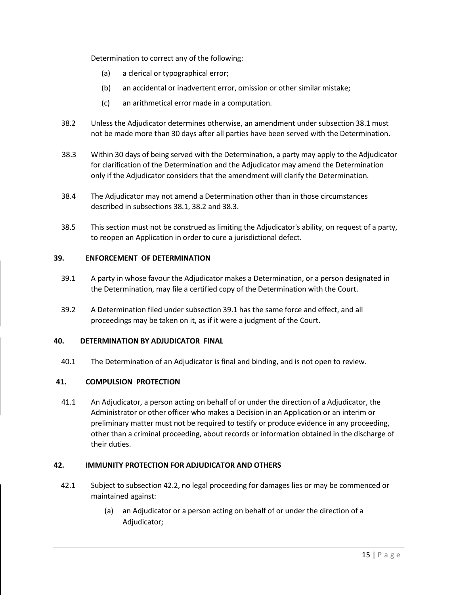Determination to correct any of the following:

- (a) a clerical or typographical error;
- (b) an accidental or inadvertent error, omission or other similar mistake;
- (c) an arithmetical error made in a computation.
- 38.2 Unless the Adjudicator determines otherwise, an amendment under subsection 38.1 must not be made more than 30 days after all parties have been served with the Determination.
- 38.3 Within 30 days of being served with the Determination, a party may apply to the Adjudicator for clarification of the Determination and the Adjudicator may amend the Determination only if the Adjudicator considers that the amendment will clarify the Determination.
- 38.4 The Adjudicator may not amend a Determination other than in those circumstances described in subsections 38.1, 38.2 and 38.3.
- 38.5 This section must not be construed as limiting the Adjudicator's ability, on request of a party, to reopen an Application in order to cure a jurisdictional defect.

### **39. ENFORCEMENT OF DETERMINATION**

- 39.1 A party in whose favour the Adjudicator makes a Determination, or a person designated in the Determination, may file a certified copy of the Determination with the Court.
- 39.2 A Determination filed under subsection 39.1 has the same force and effect, and all proceedings may be taken on it, as if it were a judgment of the Court.

### **40. DETERMINATION BY ADJUDICATOR FINAL**

40.1 The Determination of an Adjudicator is final and binding, and is not open to review.

### **41. COMPULSION PROTECTION**

41.1 An Adjudicator, a person acting on behalf of or under the direction of a Adjudicator, the Administrator or other officer who makes a Decision in an Application or an interim or preliminary matter must not be required to testify or produce evidence in any proceeding, other than a criminal proceeding, about records or information obtained in the discharge of their duties.

### **42. IMMUNITY PROTECTION FOR ADJUDICATOR AND OTHERS**

- 42.1 Subject to subsection 42.2, no legal proceeding for damages lies or may be commenced or maintained against:
	- (a) an Adjudicator or a person acting on behalf of or under the direction of a Adjudicator;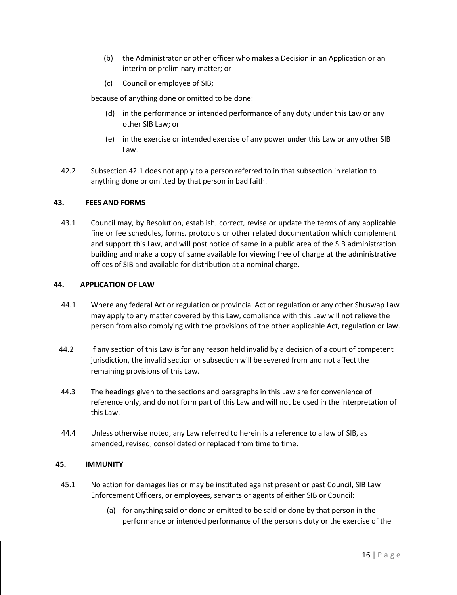- (b) the Administrator or other officer who makes a Decision in an Application or an interim or preliminary matter; or
- (c) Council or employee of SIB;

because of anything done or omitted to be done:

- (d) in the performance or intended performance of any duty under this Law or any other SIB Law; or
- (e) in the exercise or intended exercise of any power under this Law or any other SIB Law.
- 42.2 Subsection 42.1 does not apply to a person referred to in that subsection in relation to anything done or omitted by that person in bad faith.

### **43. FEES AND FORMS**

43.1 Council may, by Resolution, establish, correct, revise or update the terms of any applicable fine or fee schedules, forms, protocols or other related documentation which complement and support this Law, and will post notice of same in a public area of the SIB administration building and make a copy of same available for viewing free of charge at the administrative offices of SIB and available for distribution at a nominal charge.

### **44. APPLICATION OF LAW**

- 44.1 Where any federal Act or regulation or provincial Act or regulation or any other Shuswap Law may apply to any matter covered by this Law, compliance with this Law will not relieve the person from also complying with the provisions of the other applicable Act, regulation or law.
- 44.2 If any section of this Law is for any reason held invalid by a decision of a court of competent jurisdiction, the invalid section or subsection will be severed from and not affect the remaining provisions of this Law.
- 44.3 The headings given to the sections and paragraphs in this Law are for convenience of reference only, and do not form part of this Law and will not be used in the interpretation of this Law.
- 44.4 Unless otherwise noted, any Law referred to herein is a reference to a law of SIB, as amended, revised, consolidated or replaced from time to time.

### **45. IMMUNITY**

- 45.1 No action for damages lies or may be instituted against present or past Council, SIB Law Enforcement Officers, or employees, servants or agents of either SIB or Council:
	- (a) for anything said or done or omitted to be said or done by that person in the performance or intended performance of the person's duty or the exercise of the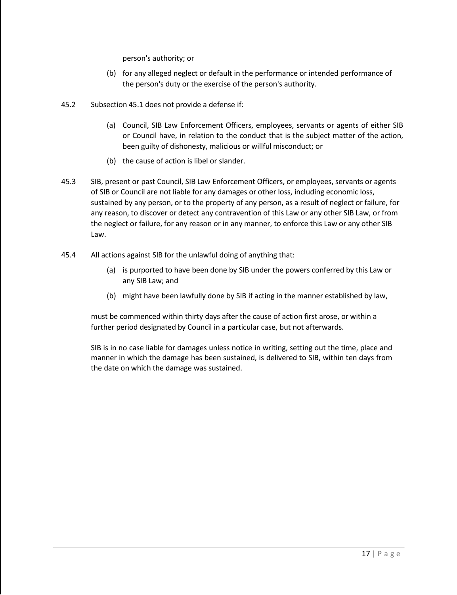person's authority; or

- (b) for any alleged neglect or default in the performance or intended performance of the person's duty or the exercise of the person's authority.
- 45.2 Subsection 45.1 does not provide a defense if:
	- (a) Council, SIB Law Enforcement Officers, employees, servants or agents of either SIB or Council have, in relation to the conduct that is the subject matter of the action, been guilty of dishonesty, malicious or willful misconduct; or
	- (b) the cause of action is libel or slander.
- 45.3 SIB, present or past Council, SIB Law Enforcement Officers, or employees, servants or agents of SIB or Council are not liable for any damages or other loss, including economic loss, sustained by any person, or to the property of any person, as a result of neglect or failure, for any reason, to discover or detect any contravention of this Law or any other SIB Law, or from the neglect or failure, for any reason or in any manner, to enforce this Law or any other SIB Law.
- 45.4 All actions against SIB for the unlawful doing of anything that:
	- (a) is purported to have been done by SIB under the powers conferred by this Law or any SIB Law; and
	- (b) might have been lawfully done by SIB if acting in the manner established by law,

must be commenced within thirty days after the cause of action first arose, or within a further period designated by Council in a particular case, but not afterwards.

SIB is in no case liable for damages unless notice in writing, setting out the time, place and manner in which the damage has been sustained, is delivered to SIB, within ten days from the date on which the damage was sustained.